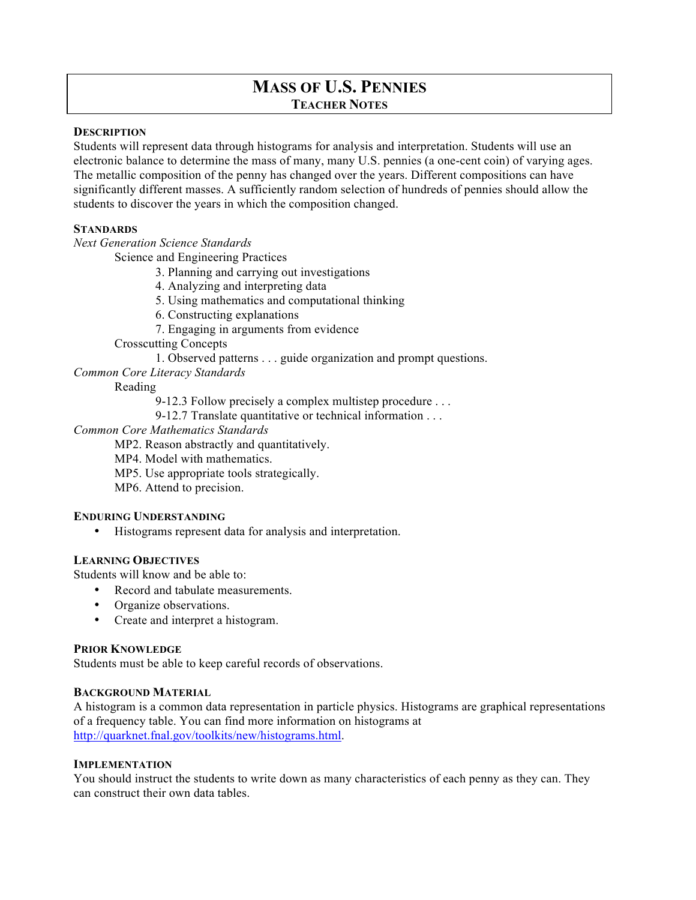# **MASS OF U.S. PENNIES TEACHER NOTES**

### **DESCRIPTION**

Students will represent data through histograms for analysis and interpretation. Students will use an electronic balance to determine the mass of many, many U.S. pennies (a one-cent coin) of varying ages. The metallic composition of the penny has changed over the years. Different compositions can have significantly different masses. A sufficiently random selection of hundreds of pennies should allow the students to discover the years in which the composition changed.

# **STANDARDS**

*Next Generation Science Standards*

Science and Engineering Practices

3. Planning and carrying out investigations

- 4. Analyzing and interpreting data
- 5. Using mathematics and computational thinking

6. Constructing explanations

7. Engaging in arguments from evidence

Crosscutting Concepts

1. Observed patterns . . . guide organization and prompt questions.

*Common Core Literacy Standards*

# Reading

- 9-12.3 Follow precisely a complex multistep procedure . . .
- 9-12.7 Translate quantitative or technical information . . .

# *Common Core Mathematics Standards*

MP2. Reason abstractly and quantitatively.

MP4. Model with mathematics.

- MP5. Use appropriate tools strategically.
- MP6. Attend to precision.

#### **ENDURING UNDERSTANDING**

• Histograms represent data for analysis and interpretation.

### **LEARNING OBJECTIVES**

Students will know and be able to:

- Record and tabulate measurements.
- Organize observations.
- Create and interpret a histogram.

#### **PRIOR KNOWLEDGE**

Students must be able to keep careful records of observations.

#### **BACKGROUND MATERIAL**

A histogram is a common data representation in particle physics. Histograms are graphical representations of a frequency table. You can find more information on histograms at http://quarknet.fnal.gov/toolkits/new/histograms.html.

#### **IMPLEMENTATION**

You should instruct the students to write down as many characteristics of each penny as they can. They can construct their own data tables.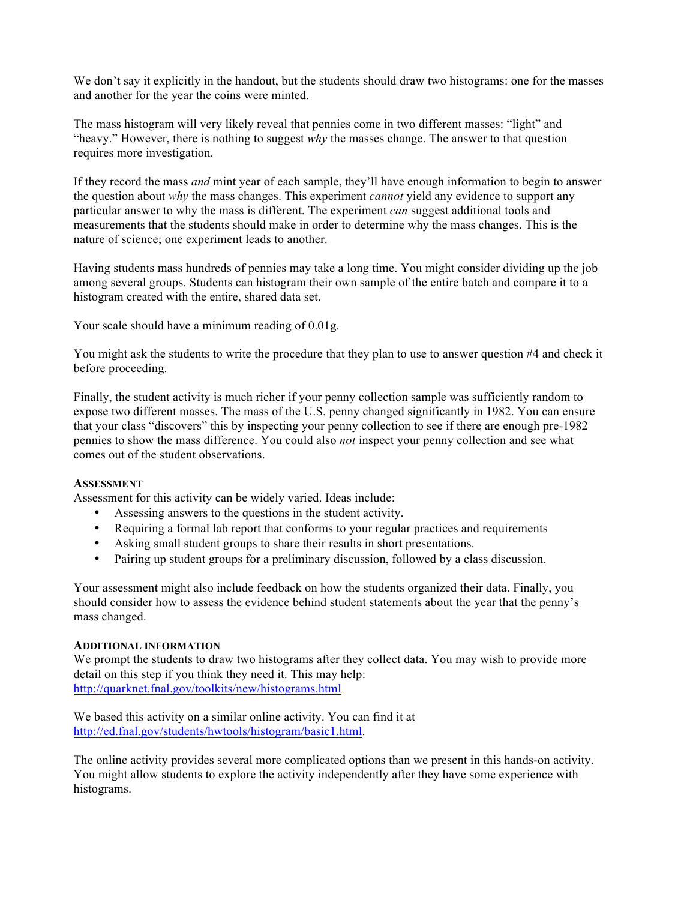We don't say it explicitly in the handout, but the students should draw two histograms: one for the masses and another for the year the coins were minted.

The mass histogram will very likely reveal that pennies come in two different masses: "light" and "heavy." However, there is nothing to suggest *why* the masses change. The answer to that question requires more investigation.

If they record the mass *and* mint year of each sample, they'll have enough information to begin to answer the question about *why* the mass changes. This experiment *cannot* yield any evidence to support any particular answer to why the mass is different. The experiment *can* suggest additional tools and measurements that the students should make in order to determine why the mass changes. This is the nature of science; one experiment leads to another.

Having students mass hundreds of pennies may take a long time. You might consider dividing up the job among several groups. Students can histogram their own sample of the entire batch and compare it to a histogram created with the entire, shared data set.

Your scale should have a minimum reading of 0.01g.

You might ask the students to write the procedure that they plan to use to answer question #4 and check it before proceeding.

Finally, the student activity is much richer if your penny collection sample was sufficiently random to expose two different masses. The mass of the U.S. penny changed significantly in 1982. You can ensure that your class "discovers" this by inspecting your penny collection to see if there are enough pre-1982 pennies to show the mass difference. You could also *not* inspect your penny collection and see what comes out of the student observations.

#### **ASSESSMENT**

Assessment for this activity can be widely varied. Ideas include:

- Assessing answers to the questions in the student activity.
- Requiring a formal lab report that conforms to your regular practices and requirements
- Asking small student groups to share their results in short presentations.
- Pairing up student groups for a preliminary discussion, followed by a class discussion.

Your assessment might also include feedback on how the students organized their data. Finally, you should consider how to assess the evidence behind student statements about the year that the penny's mass changed.

#### **ADDITIONAL INFORMATION**

We prompt the students to draw two histograms after they collect data. You may wish to provide more detail on this step if you think they need it. This may help: http://quarknet.fnal.gov/toolkits/new/histograms.html

We based this activity on a similar online activity. You can find it at http://ed.fnal.gov/students/hwtools/histogram/basic1.html.

The online activity provides several more complicated options than we present in this hands-on activity. You might allow students to explore the activity independently after they have some experience with histograms.